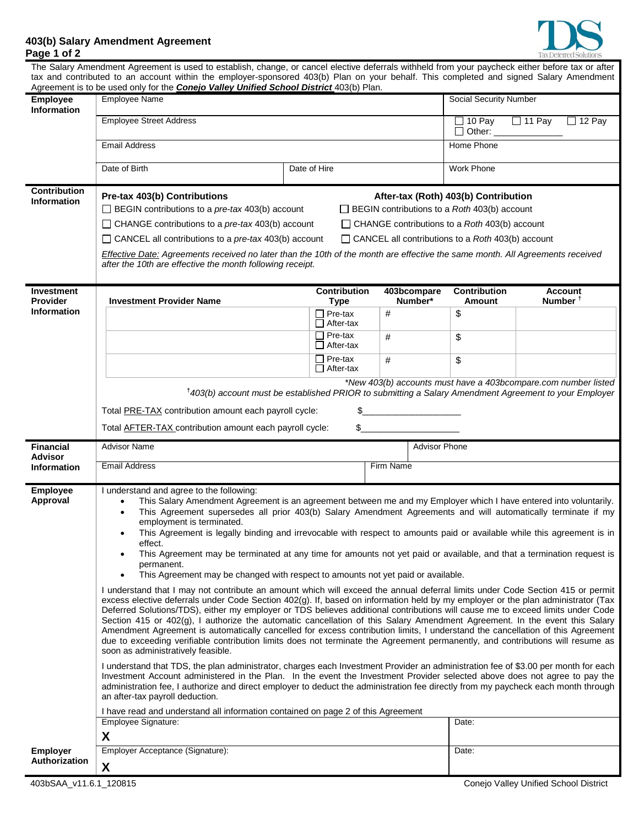

## **403(b) Salary Amendment Agreement Page 1 of 2**

|                                       | The Salary Amendment Agreement is used to establish, change, or cancel elective deferrals withheld from your paycheck either before tax or after<br>tax and contributed to an account within the employer-sponsored 403(b) Plan on your behalf. This completed and signed Salary Amendment                                                                                                                                                                                                                                                                                                                                                                                                                                                                                                                                                                                                                                       |                                                                                                                                                                                                                                                                                                                                                                                                       |           |                        |                                                      |                                       |  |
|---------------------------------------|----------------------------------------------------------------------------------------------------------------------------------------------------------------------------------------------------------------------------------------------------------------------------------------------------------------------------------------------------------------------------------------------------------------------------------------------------------------------------------------------------------------------------------------------------------------------------------------------------------------------------------------------------------------------------------------------------------------------------------------------------------------------------------------------------------------------------------------------------------------------------------------------------------------------------------|-------------------------------------------------------------------------------------------------------------------------------------------------------------------------------------------------------------------------------------------------------------------------------------------------------------------------------------------------------------------------------------------------------|-----------|------------------------|------------------------------------------------------|---------------------------------------|--|
|                                       | Agreement is to be used only for the <b>Conejo Valley Unified School District</b> 403(b) Plan.                                                                                                                                                                                                                                                                                                                                                                                                                                                                                                                                                                                                                                                                                                                                                                                                                                   |                                                                                                                                                                                                                                                                                                                                                                                                       |           |                        |                                                      |                                       |  |
| <b>Employee</b><br><b>Information</b> | <b>Employee Name</b>                                                                                                                                                                                                                                                                                                                                                                                                                                                                                                                                                                                                                                                                                                                                                                                                                                                                                                             |                                                                                                                                                                                                                                                                                                                                                                                                       |           |                        | <b>Social Security Number</b>                        |                                       |  |
|                                       | <b>Employee Street Address</b>                                                                                                                                                                                                                                                                                                                                                                                                                                                                                                                                                                                                                                                                                                                                                                                                                                                                                                   |                                                                                                                                                                                                                                                                                                                                                                                                       |           |                        | $\Box$ 10 Pay<br>$\Box$ Other: $\Box$                | $\Box$ 11 Pay<br>$\Box$ 12 Pay        |  |
|                                       | <b>Email Address</b>                                                                                                                                                                                                                                                                                                                                                                                                                                                                                                                                                                                                                                                                                                                                                                                                                                                                                                             |                                                                                                                                                                                                                                                                                                                                                                                                       |           |                        | Home Phone                                           |                                       |  |
|                                       | Date of Birth<br>Date of Hire                                                                                                                                                                                                                                                                                                                                                                                                                                                                                                                                                                                                                                                                                                                                                                                                                                                                                                    |                                                                                                                                                                                                                                                                                                                                                                                                       |           |                        | Work Phone                                           |                                       |  |
| <b>Contribution</b>                   |                                                                                                                                                                                                                                                                                                                                                                                                                                                                                                                                                                                                                                                                                                                                                                                                                                                                                                                                  |                                                                                                                                                                                                                                                                                                                                                                                                       |           |                        |                                                      |                                       |  |
| <b>Information</b>                    | Pre-tax 403(b) Contributions<br>After-tax (Roth) 403(b) Contribution<br>$\Box$ BEGIN contributions to a pre-tax 403(b) account<br>$\Box$ BEGIN contributions to a Roth 403(b) account                                                                                                                                                                                                                                                                                                                                                                                                                                                                                                                                                                                                                                                                                                                                            |                                                                                                                                                                                                                                                                                                                                                                                                       |           |                        |                                                      |                                       |  |
|                                       | $\Box$ CHANGE contributions to a <i>pre-tax</i> 403(b) account                                                                                                                                                                                                                                                                                                                                                                                                                                                                                                                                                                                                                                                                                                                                                                                                                                                                   |                                                                                                                                                                                                                                                                                                                                                                                                       |           |                        | $\Box$ CHANGE contributions to a Roth 403(b) account |                                       |  |
|                                       | $\Box$ CANCEL all contributions to a pre-tax 403(b) account<br>$\Box$ CANCEL all contributions to a Roth 403(b) account                                                                                                                                                                                                                                                                                                                                                                                                                                                                                                                                                                                                                                                                                                                                                                                                          |                                                                                                                                                                                                                                                                                                                                                                                                       |           |                        |                                                      |                                       |  |
|                                       | Effective Date: Agreements received no later than the 10th of the month are effective the same month. All Agreements received<br>after the 10th are effective the month following receipt.                                                                                                                                                                                                                                                                                                                                                                                                                                                                                                                                                                                                                                                                                                                                       |                                                                                                                                                                                                                                                                                                                                                                                                       |           |                        |                                                      |                                       |  |
| <b>Investment</b><br><b>Provider</b>  | <b>Investment Provider Name</b>                                                                                                                                                                                                                                                                                                                                                                                                                                                                                                                                                                                                                                                                                                                                                                                                                                                                                                  | <b>Contribution</b><br><b>Type</b>                                                                                                                                                                                                                                                                                                                                                                    |           | 403bcompare<br>Number* | <b>Contribution</b><br><b>Amount</b>                 | <b>Account</b><br>Number <sup>1</sup> |  |
| <b>Information</b>                    |                                                                                                                                                                                                                                                                                                                                                                                                                                                                                                                                                                                                                                                                                                                                                                                                                                                                                                                                  | $\Box$ Pre-tax                                                                                                                                                                                                                                                                                                                                                                                        | $\#$      |                        | \$                                                   |                                       |  |
|                                       |                                                                                                                                                                                                                                                                                                                                                                                                                                                                                                                                                                                                                                                                                                                                                                                                                                                                                                                                  | $\Box$ After-tax<br>$\Box$ Pre-tax                                                                                                                                                                                                                                                                                                                                                                    |           |                        |                                                      |                                       |  |
|                                       |                                                                                                                                                                                                                                                                                                                                                                                                                                                                                                                                                                                                                                                                                                                                                                                                                                                                                                                                  | $\Box$ After-tax                                                                                                                                                                                                                                                                                                                                                                                      | #         |                        | \$                                                   |                                       |  |
|                                       |                                                                                                                                                                                                                                                                                                                                                                                                                                                                                                                                                                                                                                                                                                                                                                                                                                                                                                                                  | $\Box$ Pre-tax<br>$\Box$ After-tax                                                                                                                                                                                                                                                                                                                                                                    | #         |                        | \$                                                   |                                       |  |
|                                       | *New 403(b) accounts must have a 403bcompare.com number listed                                                                                                                                                                                                                                                                                                                                                                                                                                                                                                                                                                                                                                                                                                                                                                                                                                                                   |                                                                                                                                                                                                                                                                                                                                                                                                       |           |                        |                                                      |                                       |  |
|                                       | <sup>†</sup> 403(b) account must be established PRIOR to submitting a Salary Amendment Agreement to your Employer                                                                                                                                                                                                                                                                                                                                                                                                                                                                                                                                                                                                                                                                                                                                                                                                                |                                                                                                                                                                                                                                                                                                                                                                                                       |           |                        |                                                      |                                       |  |
|                                       | Total <b>PRE-TAX</b> contribution amount each payroll cycle:<br>\$<br>Total AFTER-TAX contribution amount each payroll cycle:                                                                                                                                                                                                                                                                                                                                                                                                                                                                                                                                                                                                                                                                                                                                                                                                    |                                                                                                                                                                                                                                                                                                                                                                                                       |           |                        |                                                      |                                       |  |
|                                       |                                                                                                                                                                                                                                                                                                                                                                                                                                                                                                                                                                                                                                                                                                                                                                                                                                                                                                                                  |                                                                                                                                                                                                                                                                                                                                                                                                       |           |                        |                                                      |                                       |  |
| <b>Financial</b>                      | <b>Advisor Name</b><br><b>Advisor Phone</b>                                                                                                                                                                                                                                                                                                                                                                                                                                                                                                                                                                                                                                                                                                                                                                                                                                                                                      |                                                                                                                                                                                                                                                                                                                                                                                                       |           |                        |                                                      |                                       |  |
| <b>Advisor</b><br><b>Information</b>  | <b>Email Address</b>                                                                                                                                                                                                                                                                                                                                                                                                                                                                                                                                                                                                                                                                                                                                                                                                                                                                                                             |                                                                                                                                                                                                                                                                                                                                                                                                       | Firm Name |                        |                                                      |                                       |  |
| Employee                              |                                                                                                                                                                                                                                                                                                                                                                                                                                                                                                                                                                                                                                                                                                                                                                                                                                                                                                                                  |                                                                                                                                                                                                                                                                                                                                                                                                       |           |                        |                                                      |                                       |  |
| Approval                              | I understand and agree to the following:<br>This Salary Amendment Agreement is an agreement between me and my Employer which I have entered into voluntarily.                                                                                                                                                                                                                                                                                                                                                                                                                                                                                                                                                                                                                                                                                                                                                                    |                                                                                                                                                                                                                                                                                                                                                                                                       |           |                        |                                                      |                                       |  |
|                                       | This Agreement supersedes all prior 403(b) Salary Amendment Agreements and will automatically terminate if my<br>employment is terminated.<br>This Agreement is legally binding and irrevocable with respect to amounts paid or available while this agreement is in<br>effect.<br>This Agreement may be terminated at any time for amounts not yet paid or available, and that a termination request is<br>permanent.                                                                                                                                                                                                                                                                                                                                                                                                                                                                                                           |                                                                                                                                                                                                                                                                                                                                                                                                       |           |                        |                                                      |                                       |  |
|                                       |                                                                                                                                                                                                                                                                                                                                                                                                                                                                                                                                                                                                                                                                                                                                                                                                                                                                                                                                  |                                                                                                                                                                                                                                                                                                                                                                                                       |           |                        |                                                      |                                       |  |
|                                       |                                                                                                                                                                                                                                                                                                                                                                                                                                                                                                                                                                                                                                                                                                                                                                                                                                                                                                                                  |                                                                                                                                                                                                                                                                                                                                                                                                       |           |                        |                                                      |                                       |  |
|                                       |                                                                                                                                                                                                                                                                                                                                                                                                                                                                                                                                                                                                                                                                                                                                                                                                                                                                                                                                  |                                                                                                                                                                                                                                                                                                                                                                                                       |           |                        |                                                      |                                       |  |
|                                       | This Agreement may be changed with respect to amounts not yet paid or available.<br>I understand that I may not contribute an amount which will exceed the annual deferral limits under Code Section 415 or permit<br>excess elective deferrals under Code Section 402(g). If, based on information held by my employer or the plan administrator (Tax<br>Deferred Solutions/TDS), either my employer or TDS believes additional contributions will cause me to exceed limits under Code<br>Section 415 or 402(g), I authorize the automatic cancellation of this Salary Amendment Agreement. In the event this Salary<br>Amendment Agreement is automatically cancelled for excess contribution limits, I understand the cancellation of this Agreement<br>due to exceeding verifiable contribution limits does not terminate the Agreement permanently, and contributions will resume as<br>soon as administratively feasible. |                                                                                                                                                                                                                                                                                                                                                                                                       |           |                        |                                                      |                                       |  |
|                                       |                                                                                                                                                                                                                                                                                                                                                                                                                                                                                                                                                                                                                                                                                                                                                                                                                                                                                                                                  |                                                                                                                                                                                                                                                                                                                                                                                                       |           |                        |                                                      |                                       |  |
|                                       | an after-tax payroll deduction.                                                                                                                                                                                                                                                                                                                                                                                                                                                                                                                                                                                                                                                                                                                                                                                                                                                                                                  | I understand that TDS, the plan administrator, charges each Investment Provider an administration fee of \$3.00 per month for each<br>Investment Account administered in the Plan. In the event the Investment Provider selected above does not agree to pay the<br>administration fee, I authorize and direct employer to deduct the administration fee directly from my paycheck each month through |           |                        |                                                      |                                       |  |
|                                       |                                                                                                                                                                                                                                                                                                                                                                                                                                                                                                                                                                                                                                                                                                                                                                                                                                                                                                                                  |                                                                                                                                                                                                                                                                                                                                                                                                       |           |                        |                                                      |                                       |  |
|                                       | I have read and understand all information contained on page 2 of this Agreement                                                                                                                                                                                                                                                                                                                                                                                                                                                                                                                                                                                                                                                                                                                                                                                                                                                 |                                                                                                                                                                                                                                                                                                                                                                                                       |           |                        |                                                      |                                       |  |
|                                       | Employee Signature:<br>X                                                                                                                                                                                                                                                                                                                                                                                                                                                                                                                                                                                                                                                                                                                                                                                                                                                                                                         |                                                                                                                                                                                                                                                                                                                                                                                                       |           |                        | Date:                                                |                                       |  |
| <b>Employer</b><br>Authorization      | Employer Acceptance (Signature):                                                                                                                                                                                                                                                                                                                                                                                                                                                                                                                                                                                                                                                                                                                                                                                                                                                                                                 |                                                                                                                                                                                                                                                                                                                                                                                                       |           |                        | Date:                                                |                                       |  |